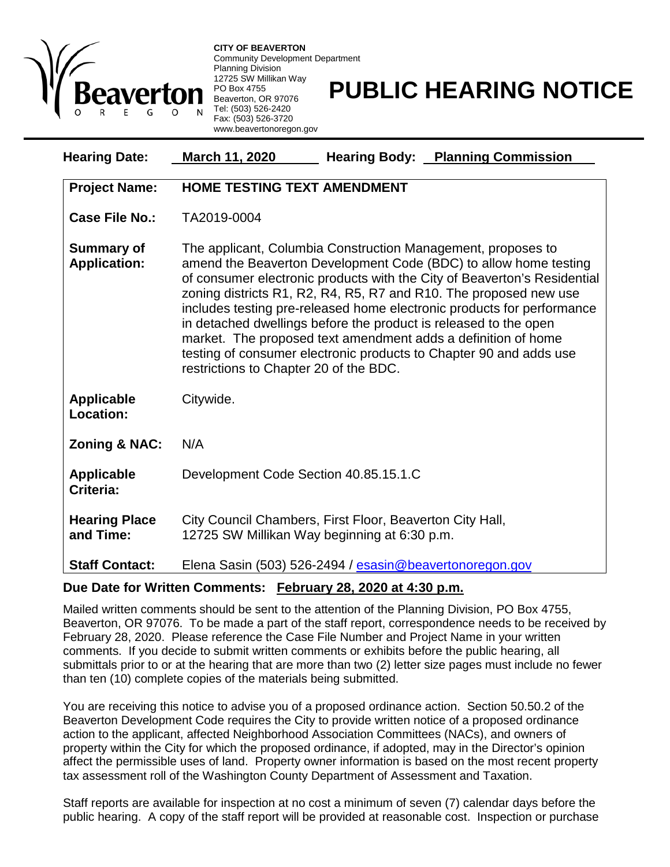

**CITY OF BEAVERTON** Community Development Department Planning Division 12725 SW Millikan Way PO Box 4755 Beaverton, OR 97076 Tel: (503) 526-2420 Fax: (503) 526-3720 www.beavertonoregon.gov

## **PUBLIC HEARING NOTICE**

| <b>Hearing Date:</b>                     | <b>Hearing Body: Planning Commission</b><br>March 11, 2020                                                                                                                                                                                                                                                                                                                                                                                                                                                                                                                                                       |
|------------------------------------------|------------------------------------------------------------------------------------------------------------------------------------------------------------------------------------------------------------------------------------------------------------------------------------------------------------------------------------------------------------------------------------------------------------------------------------------------------------------------------------------------------------------------------------------------------------------------------------------------------------------|
| <b>Project Name:</b>                     | <b>HOME TESTING TEXT AMENDMENT</b>                                                                                                                                                                                                                                                                                                                                                                                                                                                                                                                                                                               |
| <b>Case File No.:</b>                    | TA2019-0004                                                                                                                                                                                                                                                                                                                                                                                                                                                                                                                                                                                                      |
| <b>Summary of</b><br><b>Application:</b> | The applicant, Columbia Construction Management, proposes to<br>amend the Beaverton Development Code (BDC) to allow home testing<br>of consumer electronic products with the City of Beaverton's Residential<br>zoning districts R1, R2, R4, R5, R7 and R10. The proposed new use<br>includes testing pre-released home electronic products for performance<br>in detached dwellings before the product is released to the open<br>market. The proposed text amendment adds a definition of home<br>testing of consumer electronic products to Chapter 90 and adds use<br>restrictions to Chapter 20 of the BDC. |
| <b>Applicable</b><br><b>Location:</b>    | Citywide.                                                                                                                                                                                                                                                                                                                                                                                                                                                                                                                                                                                                        |
| <b>Zoning &amp; NAC:</b>                 | N/A                                                                                                                                                                                                                                                                                                                                                                                                                                                                                                                                                                                                              |
| <b>Applicable</b><br>Criteria:           | Development Code Section 40.85.15.1.C                                                                                                                                                                                                                                                                                                                                                                                                                                                                                                                                                                            |
| <b>Hearing Place</b><br>and Time:        | City Council Chambers, First Floor, Beaverton City Hall,<br>12725 SW Millikan Way beginning at 6:30 p.m.                                                                                                                                                                                                                                                                                                                                                                                                                                                                                                         |
| <b>Staff Contact:</b>                    | Elena Sasin (503) 526-2494 / esasin@beavertonoregon.gov                                                                                                                                                                                                                                                                                                                                                                                                                                                                                                                                                          |

## **Due Date for Written Comments: February 28, 2020 at 4:30 p.m.**

Mailed written comments should be sent to the attention of the Planning Division, PO Box 4755, Beaverton, OR 97076. To be made a part of the staff report, correspondence needs to be received by February 28, 2020. Please reference the Case File Number and Project Name in your written comments. If you decide to submit written comments or exhibits before the public hearing, all submittals prior to or at the hearing that are more than two (2) letter size pages must include no fewer than ten (10) complete copies of the materials being submitted.

You are receiving this notice to advise you of a proposed ordinance action. Section 50.50.2 of the Beaverton Development Code requires the City to provide written notice of a proposed ordinance action to the applicant, affected Neighborhood Association Committees (NACs), and owners of property within the City for which the proposed ordinance, if adopted, may in the Director's opinion affect the permissible uses of land. Property owner information is based on the most recent property tax assessment roll of the Washington County Department of Assessment and Taxation.

Staff reports are available for inspection at no cost a minimum of seven (7) calendar days before the public hearing. A copy of the staff report will be provided at reasonable cost. Inspection or purchase